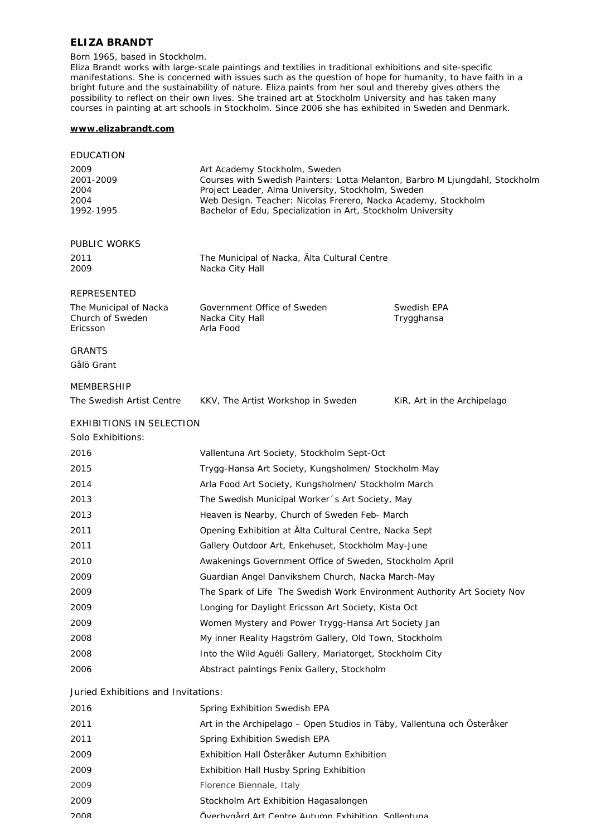### **ELIZA BRANDT**

#### Born 1965, based in Stockholm.

Eliza Brandt works with large-scale paintings and textilies in traditional exhibitions and site-specific manifestations. She is concerned with issues such as the question of hope for humanity, to have faith in a bright future and the sustainability of nature. Eliza paints from her soul and thereby gives others the possibility to reflect on their own lives. She trained art at Stockholm University and has taken many courses in painting at art schools in Stockholm. Since 2006 she has exhibited in Sweden and Denmark.

## **[www.elizabrandt.com](http://www.elizabrandt.com)**

| <b>EDUCATION</b>                                              |                                                                                                                                                                                                                                       |                                  |
|---------------------------------------------------------------|---------------------------------------------------------------------------------------------------------------------------------------------------------------------------------------------------------------------------------------|----------------------------------|
| 2009<br>2001-2009<br>2004<br>2004                             | Art Academy Stockholm, Sweden<br>Courses with Swedish Painters: Lotta Melanton, Barbro M Ljungdahl, Stockholm<br>Project Leader, Alma University, Stockholm, Sweden<br>Web Design. Teacher: Nicolas Frerero, Nacka Academy, Stockholm |                                  |
| 1992-1995                                                     | Bachelor of Edu, Specialization in Art, Stockholm University                                                                                                                                                                          |                                  |
|                                                               |                                                                                                                                                                                                                                       |                                  |
| <b>PUBLIC WORKS</b>                                           |                                                                                                                                                                                                                                       |                                  |
| 2011<br>2009                                                  | The Municipal of Nacka, Alta Cultural Centre<br>Nacka City Hall                                                                                                                                                                       |                                  |
| <b>REPRESENTED</b>                                            |                                                                                                                                                                                                                                       |                                  |
| The Municipal of Nacka<br>Church of Sweden<br><b>Ericsson</b> | Government Office of Sweden<br>Nacka City Hall<br>Arla Food                                                                                                                                                                           | <b>Swedish EPA</b><br>Trygghansa |
| <b>GRANTS</b>                                                 |                                                                                                                                                                                                                                       |                                  |
| Gålö Grant                                                    |                                                                                                                                                                                                                                       |                                  |
| <b>MEMBERSHIP</b>                                             |                                                                                                                                                                                                                                       |                                  |
| The Swedish Artist Centre                                     | KKV, The Artist Workshop in Sweden                                                                                                                                                                                                    | KiR, Art in the Archipelago      |
| <b>EXHIBITIONS IN SELECTION</b>                               |                                                                                                                                                                                                                                       |                                  |
| Solo Exhibitions:                                             |                                                                                                                                                                                                                                       |                                  |
| 2016                                                          | Vallentuna Art Society, Stockholm Sept-Oct                                                                                                                                                                                            |                                  |
| 2015                                                          | Trygg-Hansa Art Society, Kungsholmen/ Stockholm May                                                                                                                                                                                   |                                  |
| 2014                                                          | Arla Food Art Society, Kungsholmen/ Stockholm March                                                                                                                                                                                   |                                  |
| 2013                                                          | The Swedish Municipal Worker 's Art Society, May                                                                                                                                                                                      |                                  |
| 2013                                                          | Heaven is Nearby, Church of Sweden Feb- March                                                                                                                                                                                         |                                  |
| 2011                                                          | Opening Exhibition at Alta Cultural Centre, Nacka Sept                                                                                                                                                                                |                                  |
| 2011                                                          | Gallery Outdoor Art, Enkehuset, Stockholm May-June                                                                                                                                                                                    |                                  |
| 2010                                                          | Awakenings Government Office of Sweden, Stockholm April                                                                                                                                                                               |                                  |
| 2009                                                          | Guardian Angel Danvikshem Church, Nacka March-May                                                                                                                                                                                     |                                  |
| 2009                                                          | The Spark of Life The Swedish Work Environment Authority Art Society Nov                                                                                                                                                              |                                  |
| 2009                                                          | Longing for Daylight Ericsson Art Society, Kista Oct                                                                                                                                                                                  |                                  |
| 2009                                                          | Women Mystery and Power Trygg-Hansa Art Society Jan                                                                                                                                                                                   |                                  |
| 2008                                                          | My inner Reality Hagström Gallery, Old Town, Stockholm                                                                                                                                                                                |                                  |
| 2008                                                          | Into the Wild Aguéli Gallery, Mariatorget, Stockholm City                                                                                                                                                                             |                                  |
| 2006                                                          | Abstract paintings Fenix Gallery, Stockholm                                                                                                                                                                                           |                                  |
| Juried Exhibitions and Invitations:                           |                                                                                                                                                                                                                                       |                                  |
| 2016                                                          | Spring Exhibition Swedish EPA                                                                                                                                                                                                         |                                  |
| 2011                                                          | Art in the Archipelago – Open Studios in Täby, Vallentuna och Österåker                                                                                                                                                               |                                  |
| 2011                                                          | Spring Exhibition Swedish EPA                                                                                                                                                                                                         |                                  |
| 2009                                                          | Exhibition Hall Österåker Autumn Exhibition                                                                                                                                                                                           |                                  |
| 2009                                                          | <b>Exhibition Hall Husby Spring Exhibition</b>                                                                                                                                                                                        |                                  |
| 2009                                                          | Florence Biennale, Italy                                                                                                                                                                                                              |                                  |
| 2009                                                          | Stockholm Art Exhibition Hagasalongen                                                                                                                                                                                                 |                                  |
| วกกล                                                          | Överhvaård Art Centre <i>Autumn Exhihition</i> Sollentuna                                                                                                                                                                             |                                  |